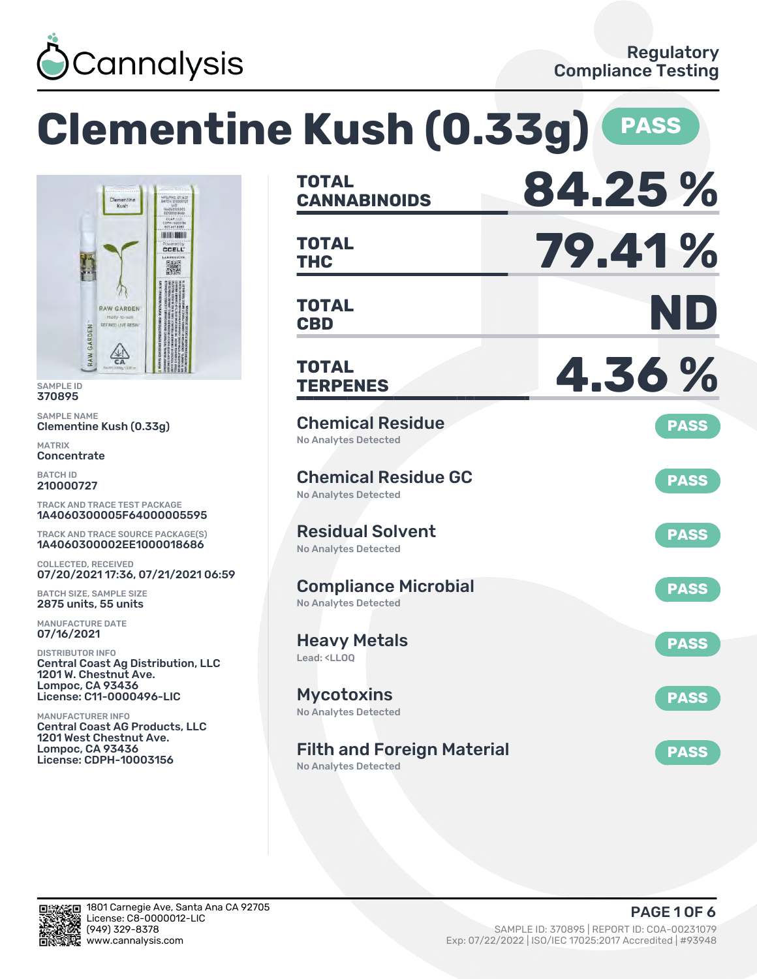

**Clementine Kush (0.33g) PASS**



SAMPLE ID 370895

SAMPLE NAME Clementine Kush (0.33g)

MATRIX **Concentrate** 

BATCH ID 210000727

TRACK AND TRACE TEST PACKAGE 1A4060300005F64000005595

TRACK AND TRACE SOURCE PACKAGE(S) 1A4060300002EE1000018686

COLLECTED, RECEIVED 07/20/2021 17:36, 07/21/2021 06:59

BATCH SIZE, SAMPLE SIZE 2875 units, 55 units

MANUFACTURE DATE 07/16/2021

DISTRIBUTOR INFO Central Coast Ag Distribution, LLC 1201 W. Chestnut Ave. Lompoc, CA 93436 License: C11-0000496-LIC

MANUFACTURER INFO Central Coast AG Products, LLC 1201 West Chestnut Ave. Lompoc, CA 93436 License: CDPH-10003156

| <b>TOTAL</b><br><b>CANNABINOIDS</b>                                    | 84.25%      |
|------------------------------------------------------------------------|-------------|
| <b>TOTAL</b><br>THC                                                    | 79.41%      |
| <b>TOTAL</b><br><b>CBD</b>                                             | ND          |
| <b>TOTAL</b><br><b>TERPENES</b>                                        | 4.36%       |
| <b>Chemical Residue</b><br><b>No Analytes Detected</b>                 | <b>PASS</b> |
| <b>Chemical Residue GC</b><br>No Analytes Detected                     | <b>PASS</b> |
| <b>Residual Solvent</b><br><b>No Analytes Detected</b>                 | <b>PASS</b> |
| <b>Compliance Microbial</b><br><b>No Analytes Detected</b>             | <b>PASS</b> |
| <b>Heavy Metals</b><br>Lead: <ll00< td=""><td><b>PASS</b></td></ll00<> | <b>PASS</b> |
| Mycotoxins<br>No Analytes Detected                                     | <b>PASS</b> |
| <b>Filth and Foreign Material</b><br>No Analytes Detected              | <b>PASS</b> |

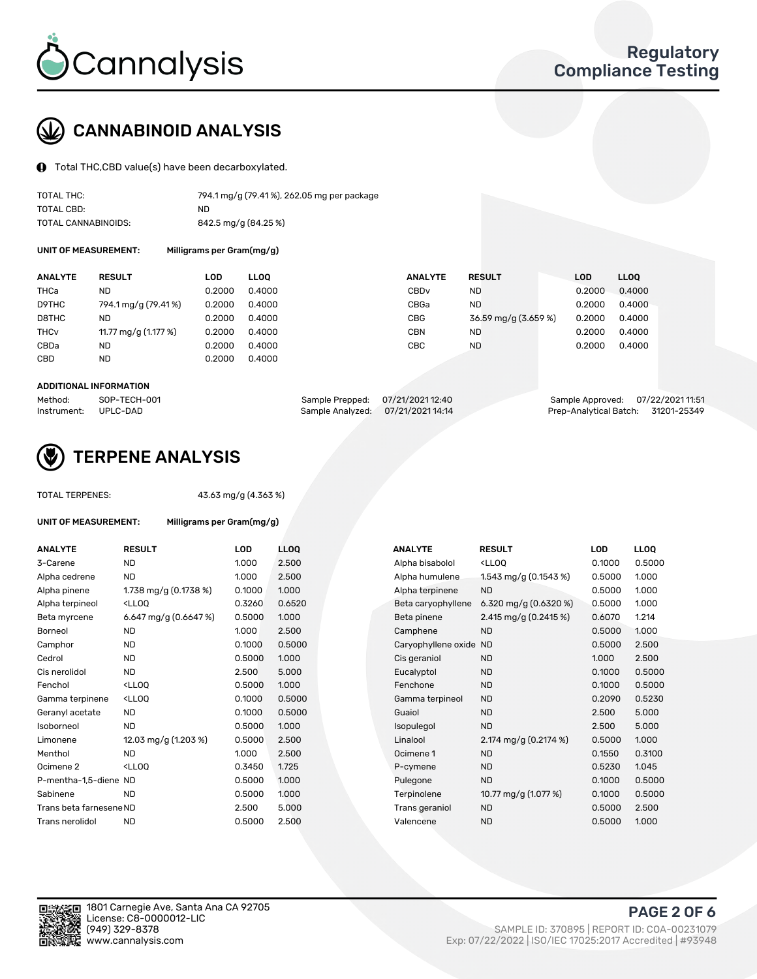

# CANNABINOID ANALYSIS

Total THC,CBD value(s) have been decarboxylated.

| TOTAL THC:          | 794.1 mg/g (79.41%), 262.05 mg per package |
|---------------------|--------------------------------------------|
| TOTAL CBD:          | ND.                                        |
| TOTAL CANNABINOIDS: | 842.5 mg/g (84.25 %)                       |

UNIT OF MEASUREMENT: Milligrams per Gram(mg/g)

| <b>ANALYTE</b>         | <b>RESULT</b>        | LOD    | <b>LLOO</b> | <b>ANALYTE</b>   | <b>RESULT</b>        | <b>LOD</b> | LL <sub>00</sub> |
|------------------------|----------------------|--------|-------------|------------------|----------------------|------------|------------------|
| THCa                   | ND                   | 0.2000 | 0.4000      | CBD <sub>v</sub> | ND.                  | 0.2000     | 0.4000           |
| D9THC                  | 794.1 mg/g (79.41%)  | 0.2000 | 0.4000      | CBGa             | ND.                  | 0.2000     | 0.4000           |
| D8THC                  | ND                   | 0.2000 | 0.4000      | CBG              | 36.59 mg/g (3.659 %) | 0.2000     | 0.4000           |
| <b>THC<sub>v</sub></b> | 11.77 mg/g (1.177 %) | 0.2000 | 0.4000      | CBN              | ND.                  | 0.2000     | 0.4000           |
| CBDa                   | ND                   | 0.2000 | 0.4000      | CBC              | ND                   | 0.2000     | 0.4000           |
| CBD                    | <b>ND</b>            | 0.2000 | 0.4000      |                  |                      |            |                  |
|                        |                      |        |             |                  |                      |            |                  |

#### ADDITIONAL INFORMATION

| Method:              | SOP-TECH-001 | Sample Prepped: 07/21/2021 12:40  | Sample Approved: 07/22/2021 11:51  |  |
|----------------------|--------------|-----------------------------------|------------------------------------|--|
| Instrument: UPLC-DAD |              | Sample Analyzed: 07/21/2021 14:14 | Prep-Analytical Batch: 31201-25349 |  |



### TERPENE ANALYSIS

TOTAL TERPENES: 43.63 mg/g (4.363 %)

| UNIT OF MEASUREMENT:    | Milligrams per Gram(mg/g)                         |        |            |
|-------------------------|---------------------------------------------------|--------|------------|
| <b>ANALYTE</b>          | <b>RESULT</b>                                     | LOD    | <b>LLO</b> |
| 3-Carene                | <b>ND</b>                                         | 1.000  | 2.50       |
| Alpha cedrene           | <b>ND</b>                                         | 1.000  | 2.50       |
| Alpha pinene            | 1.738 mg/g $(0.1738\%)$                           | 0.1000 | 1.00       |
| Alpha terpineol         | <lloo< td=""><td>0.3260</td><td>0.65</td></lloo<> | 0.3260 | 0.65       |
| Beta myrcene            | 6.647 mg/g $(0.6647%)$                            | 0.5000 | 1.00       |
| Borneol                 | <b>ND</b>                                         | 1.000  | 2.50       |
| Camphor                 | <b>ND</b>                                         | 0.1000 | 0.50       |
| Cedrol                  | <b>ND</b>                                         | 0.5000 | 1.00       |
| Cis nerolidol           | <b>ND</b>                                         | 2.500  | 5.00       |
| Fenchol                 | <ll00< td=""><td>0.5000</td><td>1.00</td></ll00<> | 0.5000 | 1.00       |
| Gamma terpinene         | <lloo< td=""><td>0.1000</td><td>0.50</td></lloo<> | 0.1000 | 0.50       |
| Geranyl acetate         | <b>ND</b>                                         | 0.1000 | 0.50       |
| Isoborneol              | <b>ND</b>                                         | 0.5000 | 1.00       |
| Limonene                | 12.03 mg/g (1.203 %)                              | 0.5000 | 2.50       |
| Menthol                 | ND.                                               | 1.000  | 2.50       |
| Ocimene <sub>2</sub>    | $<$ LL00                                          | 0.3450 | 1.72!      |
| P-mentha-1,5-diene ND   |                                                   | 0.5000 | 1.00       |
| Sabinene                | <b>ND</b>                                         | 0.5000 | 1.00       |
| Trans beta farnesene ND |                                                   | 2.500  | 5.00       |
| Trans nerolidol         | ND                                                | 0.5000 | 2.50       |

| <b>ANALYTE</b>          | <b>RESULT</b>                                                                                                               | LOD    | <b>LLOQ</b> | <b>ANALYTE</b>      | <b>RESULT</b>                        | <b>LOD</b> |
|-------------------------|-----------------------------------------------------------------------------------------------------------------------------|--------|-------------|---------------------|--------------------------------------|------------|
| 3-Carene                | <b>ND</b>                                                                                                                   | 1.000  | 2.500       | Alpha bisabolol     | <lloq< td=""><td>0.1000</td></lloq<> | 0.1000     |
| Alpha cedrene           | <b>ND</b>                                                                                                                   | 1.000  | 2.500       | Alpha humulene      | 1.543 mg/g $(0.1543\%)$              | 0.5000     |
| Alpha pinene            | 1.738 mg/g (0.1738 %)                                                                                                       | 0.1000 | 1.000       | Alpha terpinene     | <b>ND</b>                            | 0.5000     |
| Alpha terpineol         | <lloq< td=""><td>0.3260</td><td>0.6520</td><td>Beta caryophyllene</td><td>6.320 mg/g (0.6320 %)</td><td>0.5000</td></lloq<> | 0.3260 | 0.6520      | Beta caryophyllene  | 6.320 mg/g (0.6320 %)                | 0.5000     |
| Beta myrcene            | 6.647 mg/g $(0.6647%)$                                                                                                      | 0.5000 | 1.000       | Beta pinene         | 2.415 mg/g $(0.2415\%)$              | 0.6070     |
| Borneol                 | <b>ND</b>                                                                                                                   | 1.000  | 2.500       | Camphene            | <b>ND</b>                            | 0.5000     |
| Camphor                 | <b>ND</b>                                                                                                                   | 0.1000 | 0.5000      | Caryophyllene oxide | ND                                   | 0.5000     |
| Cedrol                  | <b>ND</b>                                                                                                                   | 0.5000 | 1.000       | Cis geraniol        | <b>ND</b>                            | 1.000      |
| Cis nerolidol           | <b>ND</b>                                                                                                                   | 2.500  | 5.000       | Eucalyptol          | <b>ND</b>                            | 0.1000     |
| Fenchol                 | <lloq< td=""><td>0.5000</td><td>1.000</td><td>Fenchone</td><td><b>ND</b></td><td>0.1000</td></lloq<>                        | 0.5000 | 1.000       | Fenchone            | <b>ND</b>                            | 0.1000     |
| Gamma terpinene         | <lloq< td=""><td>0.1000</td><td>0.5000</td><td>Gamma terpineol</td><td><b>ND</b></td><td>0.2090</td></lloq<>                | 0.1000 | 0.5000      | Gamma terpineol     | <b>ND</b>                            | 0.2090     |
| Geranyl acetate         | <b>ND</b>                                                                                                                   | 0.1000 | 0.5000      | Guaiol              | <b>ND</b>                            | 2.500      |
| Isoborneol              | <b>ND</b>                                                                                                                   | 0.5000 | 1.000       | Isopulegol          | <b>ND</b>                            | 2.500      |
| Limonene                | 12.03 mg/g (1.203 %)                                                                                                        | 0.5000 | 2.500       | Linalool            | 2.174 mg/g (0.2174 %)                | 0.5000     |
| Menthol                 | <b>ND</b>                                                                                                                   | 1.000  | 2.500       | Ocimene 1           | <b>ND</b>                            | 0.1550     |
| Ocimene 2               | <lloq< td=""><td>0.3450</td><td>1.725</td><td>P-cymene</td><td><b>ND</b></td><td>0.5230</td></lloq<>                        | 0.3450 | 1.725       | P-cymene            | <b>ND</b>                            | 0.5230     |
| P-mentha-1,5-diene ND   |                                                                                                                             | 0.5000 | 1.000       | Pulegone            | <b>ND</b>                            | 0.1000     |
| Sabinene                | <b>ND</b>                                                                                                                   | 0.5000 | 1.000       | Terpinolene         | 10.77 mg/g (1.077 %)                 | 0.1000     |
| Trans beta farnesene ND |                                                                                                                             | 2.500  | 5.000       | Trans geraniol      | <b>ND</b>                            | 0.5000     |
| Trans nerolidol         | <b>ND</b>                                                                                                                   | 0.5000 | 2.500       | Valencene           | <b>ND</b>                            | 0.5000     |
|                         |                                                                                                                             |        |             |                     |                                      |            |



PAGE 2 OF 6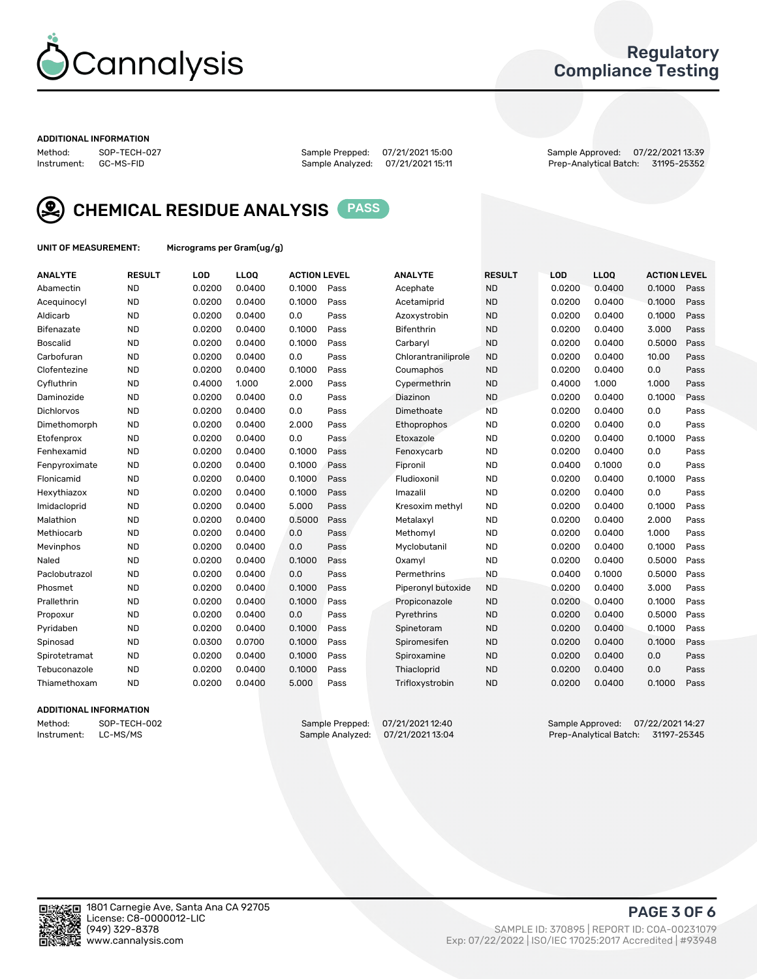

### Regulatory Compliance Testing

#### ADDITIONAL INFORMATION

Method: SOP-TECH-027 Sample Prepped: 07/21/2021 15:00 Sample Approved: 07/22/2021 13:39 Prep-Analytical Batch: 31195-25352



CHEMICAL RESIDUE ANALYSIS PASS

UNIT OF MEASUREMENT: Micrograms per Gram(ug/g)

| <b>ANALYTE</b>  | <b>RESULT</b> | LOD    | LLOQ   | <b>ACTION LEVEL</b> |      | <b>ANALYTE</b>      | <b>RESULT</b> | <b>LOD</b> | <b>LLOQ</b> | <b>ACTION LEVEL</b> |      |
|-----------------|---------------|--------|--------|---------------------|------|---------------------|---------------|------------|-------------|---------------------|------|
| Abamectin       | <b>ND</b>     | 0.0200 | 0.0400 | 0.1000              | Pass | Acephate            | <b>ND</b>     | 0.0200     | 0.0400      | 0.1000              | Pass |
| Acequinocyl     | <b>ND</b>     | 0.0200 | 0.0400 | 0.1000              | Pass | Acetamiprid         | <b>ND</b>     | 0.0200     | 0.0400      | 0.1000              | Pass |
| Aldicarb        | <b>ND</b>     | 0.0200 | 0.0400 | 0.0                 | Pass | Azoxystrobin        | <b>ND</b>     | 0.0200     | 0.0400      | 0.1000              | Pass |
| Bifenazate      | <b>ND</b>     | 0.0200 | 0.0400 | 0.1000              | Pass | Bifenthrin          | <b>ND</b>     | 0.0200     | 0.0400      | 3.000               | Pass |
| <b>Boscalid</b> | <b>ND</b>     | 0.0200 | 0.0400 | 0.1000              | Pass | Carbaryl            | <b>ND</b>     | 0.0200     | 0.0400      | 0.5000              | Pass |
| Carbofuran      | <b>ND</b>     | 0.0200 | 0.0400 | 0.0                 | Pass | Chlorantraniliprole | <b>ND</b>     | 0.0200     | 0.0400      | 10.00               | Pass |
| Clofentezine    | <b>ND</b>     | 0.0200 | 0.0400 | 0.1000              | Pass | Coumaphos           | <b>ND</b>     | 0.0200     | 0.0400      | 0.0                 | Pass |
| Cyfluthrin      | <b>ND</b>     | 0.4000 | 1.000  | 2.000               | Pass | Cypermethrin        | <b>ND</b>     | 0.4000     | 1.000       | 1.000               | Pass |
| Daminozide      | <b>ND</b>     | 0.0200 | 0.0400 | 0.0                 | Pass | Diazinon            | <b>ND</b>     | 0.0200     | 0.0400      | 0.1000              | Pass |
| Dichlorvos      | <b>ND</b>     | 0.0200 | 0.0400 | 0.0                 | Pass | Dimethoate          | <b>ND</b>     | 0.0200     | 0.0400      | 0.0                 | Pass |
| Dimethomorph    | <b>ND</b>     | 0.0200 | 0.0400 | 2.000               | Pass | <b>Ethoprophos</b>  | <b>ND</b>     | 0.0200     | 0.0400      | 0.0                 | Pass |
| Etofenprox      | <b>ND</b>     | 0.0200 | 0.0400 | 0.0                 | Pass | Etoxazole           | <b>ND</b>     | 0.0200     | 0.0400      | 0.1000              | Pass |
| Fenhexamid      | <b>ND</b>     | 0.0200 | 0.0400 | 0.1000              | Pass | Fenoxycarb          | <b>ND</b>     | 0.0200     | 0.0400      | 0.0                 | Pass |
| Fenpyroximate   | <b>ND</b>     | 0.0200 | 0.0400 | 0.1000              | Pass | Fipronil            | <b>ND</b>     | 0.0400     | 0.1000      | 0.0                 | Pass |
| Flonicamid      | <b>ND</b>     | 0.0200 | 0.0400 | 0.1000              | Pass | Fludioxonil         | <b>ND</b>     | 0.0200     | 0.0400      | 0.1000              | Pass |
| Hexythiazox     | <b>ND</b>     | 0.0200 | 0.0400 | 0.1000              | Pass | Imazalil            | <b>ND</b>     | 0.0200     | 0.0400      | 0.0                 | Pass |
| Imidacloprid    | <b>ND</b>     | 0.0200 | 0.0400 | 5.000               | Pass | Kresoxim methyl     | <b>ND</b>     | 0.0200     | 0.0400      | 0.1000              | Pass |
| Malathion       | <b>ND</b>     | 0.0200 | 0.0400 | 0.5000              | Pass | Metalaxyl           | <b>ND</b>     | 0.0200     | 0.0400      | 2.000               | Pass |
| Methiocarb      | <b>ND</b>     | 0.0200 | 0.0400 | 0.0                 | Pass | Methomyl            | <b>ND</b>     | 0.0200     | 0.0400      | 1.000               | Pass |
| Mevinphos       | <b>ND</b>     | 0.0200 | 0.0400 | 0.0                 | Pass | Myclobutanil        | <b>ND</b>     | 0.0200     | 0.0400      | 0.1000              | Pass |
| Naled           | <b>ND</b>     | 0.0200 | 0.0400 | 0.1000              | Pass | Oxamvl              | <b>ND</b>     | 0.0200     | 0.0400      | 0.5000              | Pass |
| Paclobutrazol   | <b>ND</b>     | 0.0200 | 0.0400 | 0.0                 | Pass | Permethrins         | <b>ND</b>     | 0.0400     | 0.1000      | 0.5000              | Pass |
| Phosmet         | <b>ND</b>     | 0.0200 | 0.0400 | 0.1000              | Pass | Piperonyl butoxide  | <b>ND</b>     | 0.0200     | 0.0400      | 3.000               | Pass |
| Prallethrin     | <b>ND</b>     | 0.0200 | 0.0400 | 0.1000              | Pass | Propiconazole       | <b>ND</b>     | 0.0200     | 0.0400      | 0.1000              | Pass |
| Propoxur        | <b>ND</b>     | 0.0200 | 0.0400 | 0.0                 | Pass | Pyrethrins          | <b>ND</b>     | 0.0200     | 0.0400      | 0.5000              | Pass |
| Pyridaben       | <b>ND</b>     | 0.0200 | 0.0400 | 0.1000              | Pass | Spinetoram          | <b>ND</b>     | 0.0200     | 0.0400      | 0.1000              | Pass |
| Spinosad        | <b>ND</b>     | 0.0300 | 0.0700 | 0.1000              | Pass | Spiromesifen        | <b>ND</b>     | 0.0200     | 0.0400      | 0.1000              | Pass |
| Spirotetramat   | <b>ND</b>     | 0.0200 | 0.0400 | 0.1000              | Pass | Spiroxamine         | <b>ND</b>     | 0.0200     | 0.0400      | 0.0                 | Pass |
| Tebuconazole    | <b>ND</b>     | 0.0200 | 0.0400 | 0.1000              | Pass | Thiacloprid         | <b>ND</b>     | 0.0200     | 0.0400      | 0.0                 | Pass |
| Thiamethoxam    | <b>ND</b>     | 0.0200 | 0.0400 | 5.000               | Pass | Trifloxystrobin     | <b>ND</b>     | 0.0200     | 0.0400      | 0.1000              | Pass |

### ADDITIONAL INFORMATION

Method: SOP-TECH-002 Sample Prepped: 07/21/2021 12:40 Sample Approved: 07/22/2021 14:27<br>Instrument: LC-MS/MS Sample Analyzed: 07/21/2021 13:04 Prep-Analytical Batch: 31197-25345 Prep-Analytical Batch: 31197-25345

PAGE 3 OF 6

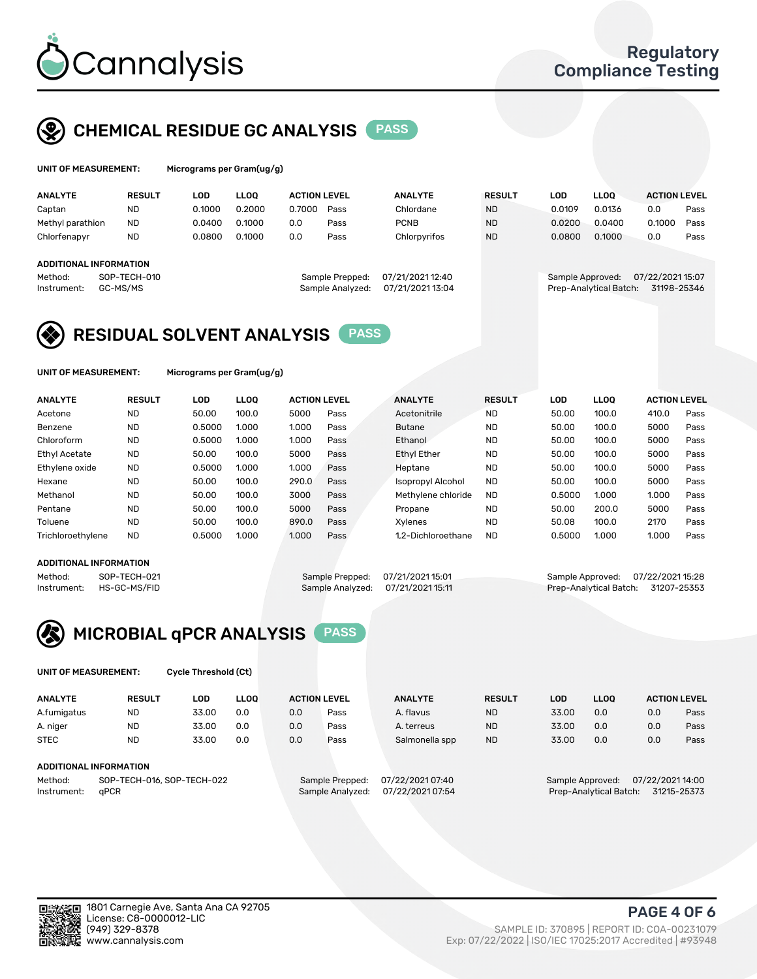

## CHEMICAL RESIDUE GC ANALYSIS PASS

| UNIT OF MEASUREMENT: |               |         | Micrograms per Gram(ug/g) |                    |      |
|----------------------|---------------|---------|---------------------------|--------------------|------|
| <b>ANALYTE</b>       | <b>RESULT</b> | LOD     | <b>LLOO</b>               | <b>ACTION LEVE</b> |      |
| Cantan               | חוא           | n 1000. | n 2000                    | n znnn             | Pace |

| <b>ANALYTE</b>         | <b>RESULT</b> | LOD    | LLOO   | <b>ACTION LEVEL</b> |                  | <b>ANALYTE</b>   | <b>RESULT</b> | LOD              | <b>LLOO</b>            | <b>ACTION LEVEL</b> |      |
|------------------------|---------------|--------|--------|---------------------|------------------|------------------|---------------|------------------|------------------------|---------------------|------|
| Captan                 | <b>ND</b>     | 0.1000 | 0.2000 | 0.7000              | Pass             | Chlordane        | <b>ND</b>     | 0.0109           | 0.0136                 | 0.0                 | Pass |
| Methyl parathion       | <b>ND</b>     | 0.0400 | 0.1000 | 0.0                 | Pass             | <b>PCNB</b>      | <b>ND</b>     | 0.0200           | 0.0400                 | 0.1000              | Pass |
| Chlorfenapyr           | <b>ND</b>     | 0.0800 | 0.1000 | 0.0                 | Pass             | Chlorpyrifos     | <b>ND</b>     | 0.0800           | 0.1000                 | 0.0                 | Pass |
| ADDITIONAL INFORMATION |               |        |        |                     |                  |                  |               |                  |                        |                     |      |
| Method:                | SOP-TECH-010  |        |        |                     | Sample Prepped:  | 07/21/2021 12:40 |               | Sample Approved: |                        | 07/22/202115:07     |      |
| Instrument:            | GC-MS/MS      |        |        |                     | Sample Analyzed: | 07/21/2021 13:04 |               |                  | Prep-Analytical Batch: | 31198-25346         |      |

## RESIDUAL SOLVENT ANALYSIS PASS

UNIT OF MEASUREMENT: Micrograms per Gram(ug/g)

| <b>ANALYTE</b>       | <b>RESULT</b> | <b>LOD</b> | <b>LLOO</b> | <b>ACTION LEVEL</b> |      | <b>ANALYTE</b>     | <b>RESULT</b> | LOD    | <b>LLOO</b> | <b>ACTION LEVEL</b> |      |
|----------------------|---------------|------------|-------------|---------------------|------|--------------------|---------------|--------|-------------|---------------------|------|
| Acetone              | <b>ND</b>     | 50.00      | 100.0       | 5000                | Pass | Acetonitrile       | <b>ND</b>     | 50.00  | 100.0       | 410.0               | Pass |
| Benzene              | <b>ND</b>     | 0.5000     | 1.000       | 1.000               | Pass | <b>Butane</b>      | <b>ND</b>     | 50.00  | 100.0       | 5000                | Pass |
| Chloroform           | <b>ND</b>     | 0.5000     | 1.000       | 1.000               | Pass | Ethanol            | <b>ND</b>     | 50.00  | 100.0       | 5000                | Pass |
| <b>Ethyl Acetate</b> | <b>ND</b>     | 50.00      | 100.0       | 5000                | Pass | <b>Ethyl Ether</b> | <b>ND</b>     | 50.00  | 100.0       | 5000                | Pass |
| Ethylene oxide       | <b>ND</b>     | 0.5000     | 1.000       | 1.000               | Pass | Heptane            | <b>ND</b>     | 50.00  | 100.0       | 5000                | Pass |
| Hexane               | <b>ND</b>     | 50.00      | 100.0       | 290.0               | Pass | Isopropyl Alcohol  | <b>ND</b>     | 50.00  | 100.0       | 5000                | Pass |
| Methanol             | <b>ND</b>     | 50.00      | 100.0       | 3000                | Pass | Methylene chloride | <b>ND</b>     | 0.5000 | 1.000       | 1.000               | Pass |
| Pentane              | <b>ND</b>     | 50.00      | 100.0       | 5000                | Pass | Propane            | <b>ND</b>     | 50.00  | 200.0       | 5000                | Pass |
| Toluene              | <b>ND</b>     | 50.00      | 100.0       | 890.0               | Pass | Xylenes            | <b>ND</b>     | 50.08  | 100.0       | 2170                | Pass |
| Trichloroethylene    | <b>ND</b>     | 0.5000     | 1.000       | 1.000               | Pass | 1.2-Dichloroethane | <b>ND</b>     | 0.5000 | 1.000       | 1.000               | Pass |

### ADDITIONAL INFORMATION

Method: SOP-TECH-021 Sample Prepped: 07/21/2021 15:01 Sample Approved: 07/22/2021 15:28<br>Instrument: HS-GC-MS/FID Sample Analyzed: 07/21/2021 15:11 Prep-Analytical Batch: 31207-25353 Prep-Analytical Batch: 31207-25353



UNIT OF MEASUREMENT: Cycle Threshold (Ct)

| <b>ANALYTE</b>                        | <b>RESULT</b>          | LOD   | <b>LLOO</b> | <b>ACTION LEVEL</b> |                  | <b>ANALYTE</b> | <b>RESULT</b> | LOD              | <b>LLOO</b>      |     | <b>ACTION LEVEL</b> |
|---------------------------------------|------------------------|-------|-------------|---------------------|------------------|----------------|---------------|------------------|------------------|-----|---------------------|
| A.fumigatus                           | <b>ND</b>              | 33.00 | 0.0         | 0.0                 | Pass             | A. flavus      | <b>ND</b>     | 33.00            | 0.0              | 0.0 | Pass                |
| A. niger                              | <b>ND</b>              | 33.00 | 0.0         | 0.0                 | Pass             | A. terreus     | <b>ND</b>     | 33.00            | 0.0              | 0.0 | Pass                |
| <b>STEC</b>                           | <b>ND</b>              | 33.00 | 0.0         | 0.0                 | Pass             | Salmonella spp | <b>ND</b>     | 33.00            | 0.0              | 0.0 | Pass                |
|                                       | ADDITIONAL INFORMATION |       |             |                     |                  |                |               |                  |                  |     |                     |
| SOP-TECH-016, SOP-TECH-022<br>Method: |                        |       |             | Sample Prepped:     | 07/22/2021 07:40 |                |               | Sample Approved: | 07/22/2021 14:00 |     |                     |

Instrument: qPCR Sample Analyzed: 07/22/2021 07:54 Prep-Analytical Batch: 31215-25373

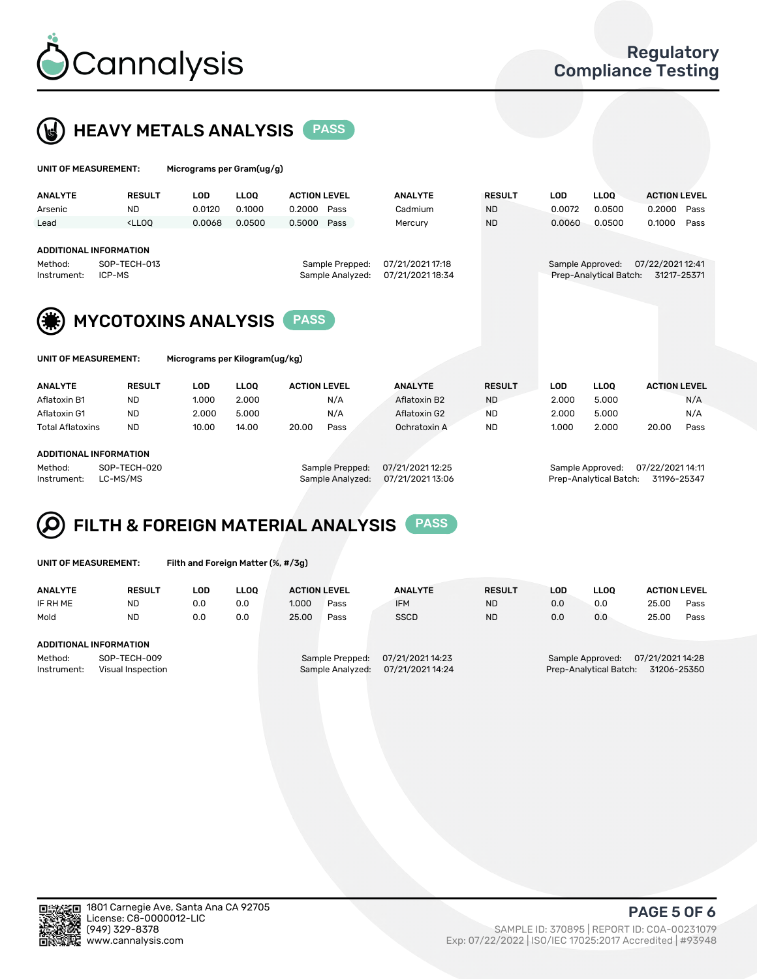



| UNIT OF MEASUREMENT:                             |                                                                                                                                                                             | Micrograms per Gram(ug/g)  |             |                     |                                     |                                      |               |                  |                        |                                |      |
|--------------------------------------------------|-----------------------------------------------------------------------------------------------------------------------------------------------------------------------------|----------------------------|-------------|---------------------|-------------------------------------|--------------------------------------|---------------|------------------|------------------------|--------------------------------|------|
| <b>ANALYTE</b>                                   | <b>RESULT</b>                                                                                                                                                               | <b>LOD</b>                 | <b>LLOO</b> | <b>ACTION LEVEL</b> |                                     | <b>ANALYTE</b>                       | <b>RESULT</b> | <b>LOD</b>       | <b>LLOO</b>            | <b>ACTION LEVEL</b>            |      |
| Arsenic                                          | <b>ND</b>                                                                                                                                                                   | 0.0120                     | 0.1000      | 0.2000              | Pass                                | Cadmium                              | <b>ND</b>     | 0.0072           | 0.0500                 | 0.2000                         | Pass |
| Lead                                             | <lloo< td=""><td>0.0068</td><td>0.0500</td><td>0.5000</td><td>Pass</td><td>Mercury</td><td><b>ND</b></td><td>0.0060</td><td>0.0500</td><td>0.1000</td><td>Pass</td></lloo<> | 0.0068                     | 0.0500      | 0.5000              | Pass                                | Mercury                              | <b>ND</b>     | 0.0060           | 0.0500                 | 0.1000                         | Pass |
| ADDITIONAL INFORMATION<br>Method:<br>Instrument: | SOP-TECH-013<br>ICP-MS                                                                                                                                                      |                            |             |                     | Sample Prepped:<br>Sample Analyzed: | 07/21/2021 17:18<br>07/21/2021 18:34 |               | Sample Approved: | Prep-Analytical Batch: | 07/22/202112:41<br>31217-25371 |      |
|                                                  |                                                                                                                                                                             | <b>MYCOTOXINS ANALYSIS</b> |             | <b>PASS</b>         |                                     |                                      |               |                  |                        |                                |      |

UNIT OF MEASUREMENT: Micrograms per Kilogram(ug/kg)

| <b>ANALYTE</b>          | <b>RESULT</b> | LOD   | <b>LLOO</b> | <b>ACTION LEVEL</b> |      | <b>ANALYTE</b> | <b>RESULT</b> | LOD   | <b>LLOO</b> | <b>ACTION LEVEL</b> |      |
|-------------------------|---------------|-------|-------------|---------------------|------|----------------|---------------|-------|-------------|---------------------|------|
| Aflatoxin B1            | <b>ND</b>     | 1.000 | 2.000       |                     | N/A  | Aflatoxin B2   | <b>ND</b>     | 2.000 | 5.000       |                     | N/A  |
| Aflatoxin G1            | <b>ND</b>     | 2.000 | 5.000       |                     | N/A  | Aflatoxin G2   | <b>ND</b>     | 2.000 | 5.000       |                     | N/A  |
| <b>Total Aflatoxins</b> | <b>ND</b>     | 10.00 | 14.00       | 20.00               | Pass | Ochratoxin A   | <b>ND</b>     | 1.000 | 2.000       | 20.00               | Pass |
|                         |               |       |             |                     |      |                |               |       |             |                     |      |

#### ADDITIONAL INFORMATION

Method: SOP-TECH-020 Sample Prepped: 07/21/2021 12:25 Sample Approved: 07/22/2021 14:11 Instrument: LC-MS/MS Sample Analyzed: 07/21/2021 13:06 Prep-Analytical Batch: 31196-25347

# FILTH & FOREIGN MATERIAL ANALYSIS PASS

UNIT OF MEASUREMENT: Filth and Foreign Matter (%, #/3g)

| <b>ANALYTE</b>                | <b>RESULT</b>                     | LOD | <b>LLOO</b> | <b>ACTION LEVEL</b> |                                     | <b>ANALYTE</b>                       | <b>RESULT</b> | LOD | LLOO                                       | <b>ACTION LEVEL</b>             |      |
|-------------------------------|-----------------------------------|-----|-------------|---------------------|-------------------------------------|--------------------------------------|---------------|-----|--------------------------------------------|---------------------------------|------|
| IF RH ME                      | <b>ND</b>                         | 0.0 | 0.0         | 1.000               | Pass                                | <b>IFM</b>                           | <b>ND</b>     | 0.0 | 0.0                                        | 25.00                           | Pass |
| Mold                          | <b>ND</b>                         | 0.0 | 0.0         | 25.00               | Pass                                | <b>SSCD</b>                          | <b>ND</b>     | 0.0 | 0.0                                        | 25.00                           | Pass |
| <b>ADDITIONAL INFORMATION</b> |                                   |     |             |                     |                                     |                                      |               |     |                                            |                                 |      |
| Method:<br>Instrument:        | SOP-TECH-009<br>Visual Inspection |     |             |                     | Sample Prepped:<br>Sample Analyzed: | 07/21/2021 14:23<br>07/21/2021 14:24 |               |     | Sample Approved:<br>Prep-Analytical Batch: | 07/21/2021 14:28<br>31206-25350 |      |



PAGE 5 OF 6